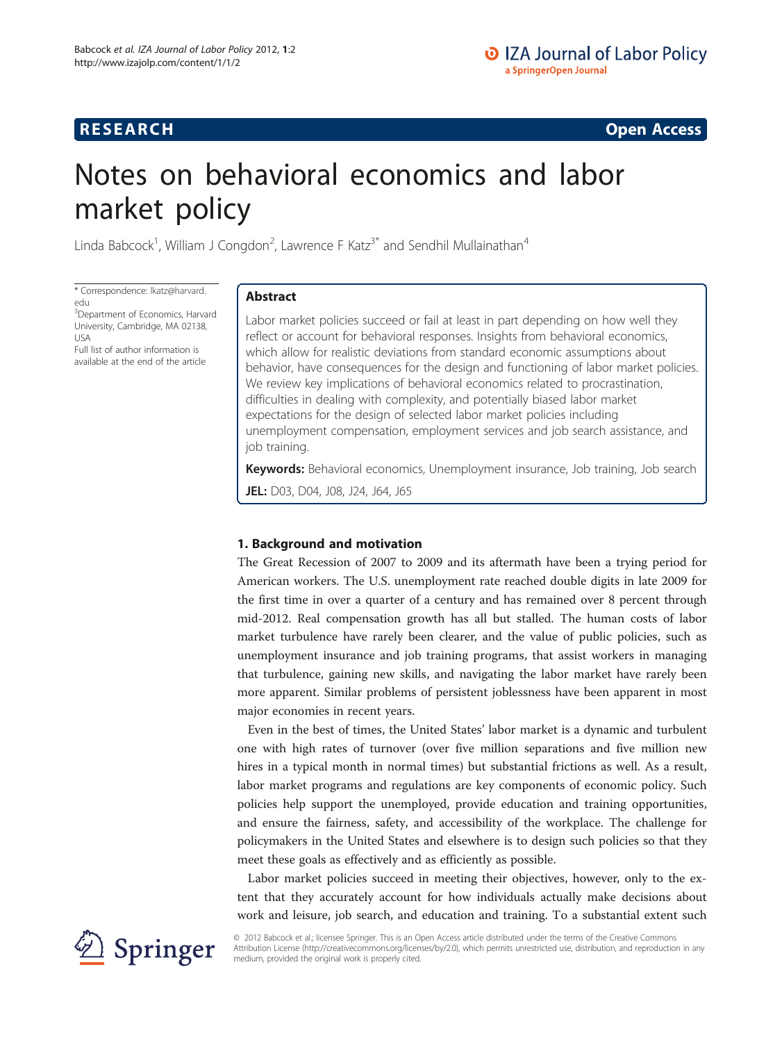# **RESEARCH RESEARCH CONSUMING ACCESS**

# Notes on behavioral economics and labor market policy

Linda Babcock<sup>1</sup>, William J Congdon<sup>2</sup>, Lawrence F Katz<sup>3\*</sup> and Sendhil Mullainathan<sup>4</sup>

\* Correspondence: [lkatz@harvard.](mailto:lkatz@harvard.edu) [edu](mailto:lkatz@harvard.edu)

<sup>3</sup>Department of Economics, Harvard University, Cambridge, MA 02138, USA

Full list of author information is available at the end of the article

# Abstract

Labor market policies succeed or fail at least in part depending on how well they reflect or account for behavioral responses. Insights from behavioral economics, which allow for realistic deviations from standard economic assumptions about behavior, have consequences for the design and functioning of labor market policies. We review key implications of behavioral economics related to procrastination, difficulties in dealing with complexity, and potentially biased labor market expectations for the design of selected labor market policies including unemployment compensation, employment services and job search assistance, and job training.

Keywords: Behavioral economics, Unemployment insurance, Job training, Job search

JEL: D03, D04, J08, J24, J64, J65

# 1. Background and motivation

The Great Recession of 2007 to 2009 and its aftermath have been a trying period for American workers. The U.S. unemployment rate reached double digits in late 2009 for the first time in over a quarter of a century and has remained over 8 percent through mid-2012. Real compensation growth has all but stalled. The human costs of labor market turbulence have rarely been clearer, and the value of public policies, such as unemployment insurance and job training programs, that assist workers in managing that turbulence, gaining new skills, and navigating the labor market have rarely been more apparent. Similar problems of persistent joblessness have been apparent in most major economies in recent years.

Even in the best of times, the United States' labor market is a dynamic and turbulent one with high rates of turnover (over five million separations and five million new hires in a typical month in normal times) but substantial frictions as well. As a result, labor market programs and regulations are key components of economic policy. Such policies help support the unemployed, provide education and training opportunities, and ensure the fairness, safety, and accessibility of the workplace. The challenge for policymakers in the United States and elsewhere is to design such policies so that they meet these goals as effectively and as efficiently as possible.

Labor market policies succeed in meeting their objectives, however, only to the extent that they accurately account for how individuals actually make decisions about work and leisure, job search, and education and training. To a substantial extent such



© 2012 Babcock et al.; licensee Springer. This is an Open Access article distributed under the terms of the Creative Commons Attribution License [\(http://creativecommons.org/licenses/by/2.0\)](http://creativecommons.org/licenses/by/2.0), which permits unrestricted use, distribution, and reproduction in any medium, provided the original work is properly cited.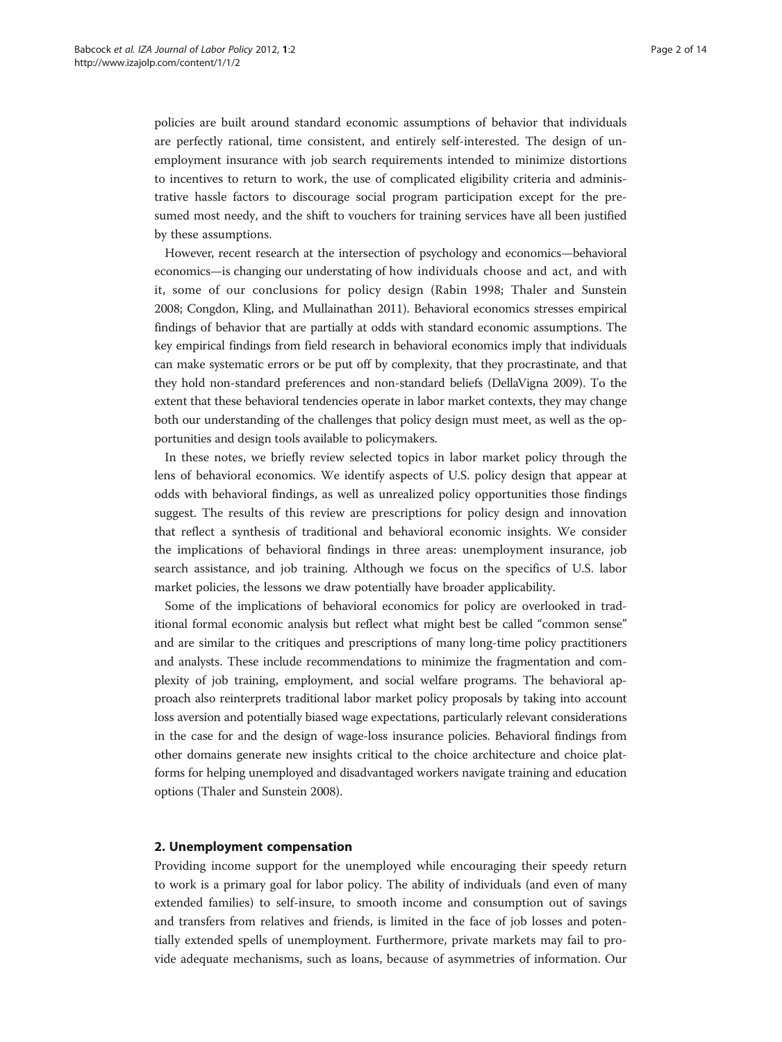policies are built around standard economic assumptions of behavior that individuals are perfectly rational, time consistent, and entirely self-interested. The design of unemployment insurance with job search requirements intended to minimize distortions to incentives to return to work, the use of complicated eligibility criteria and administrative hassle factors to discourage social program participation except for the presumed most needy, and the shift to vouchers for training services have all been justified by these assumptions.

However, recent research at the intersection of psychology and economics—behavioral economics—is changing our understating of how individuals choose and act, and with it, some of our conclusions for policy design (Rabin [1998;](#page-13-0) Thaler and Sunstein [2008;](#page-13-0) Congdon, Kling, and Mullainathan [2011\)](#page-12-0). Behavioral economics stresses empirical findings of behavior that are partially at odds with standard economic assumptions. The key empirical findings from field research in behavioral economics imply that individuals can make systematic errors or be put off by complexity, that they procrastinate, and that they hold non-standard preferences and non-standard beliefs (DellaVigna [2009\)](#page-12-0). To the extent that these behavioral tendencies operate in labor market contexts, they may change both our understanding of the challenges that policy design must meet, as well as the opportunities and design tools available to policymakers.

In these notes, we briefly review selected topics in labor market policy through the lens of behavioral economics. We identify aspects of U.S. policy design that appear at odds with behavioral findings, as well as unrealized policy opportunities those findings suggest. The results of this review are prescriptions for policy design and innovation that reflect a synthesis of traditional and behavioral economic insights. We consider the implications of behavioral findings in three areas: unemployment insurance, job search assistance, and job training. Although we focus on the specifics of U.S. labor market policies, the lessons we draw potentially have broader applicability.

Some of the implications of behavioral economics for policy are overlooked in traditional formal economic analysis but reflect what might best be called "common sense" and are similar to the critiques and prescriptions of many long-time policy practitioners and analysts. These include recommendations to minimize the fragmentation and complexity of job training, employment, and social welfare programs. The behavioral approach also reinterprets traditional labor market policy proposals by taking into account loss aversion and potentially biased wage expectations, particularly relevant considerations in the case for and the design of wage-loss insurance policies. Behavioral findings from other domains generate new insights critical to the choice architecture and choice platforms for helping unemployed and disadvantaged workers navigate training and education options (Thaler and Sunstein [2008\)](#page-13-0).

#### 2. Unemployment compensation

Providing income support for the unemployed while encouraging their speedy return to work is a primary goal for labor policy. The ability of individuals (and even of many extended families) to self-insure, to smooth income and consumption out of savings and transfers from relatives and friends, is limited in the face of job losses and potentially extended spells of unemployment. Furthermore, private markets may fail to provide adequate mechanisms, such as loans, because of asymmetries of information. Our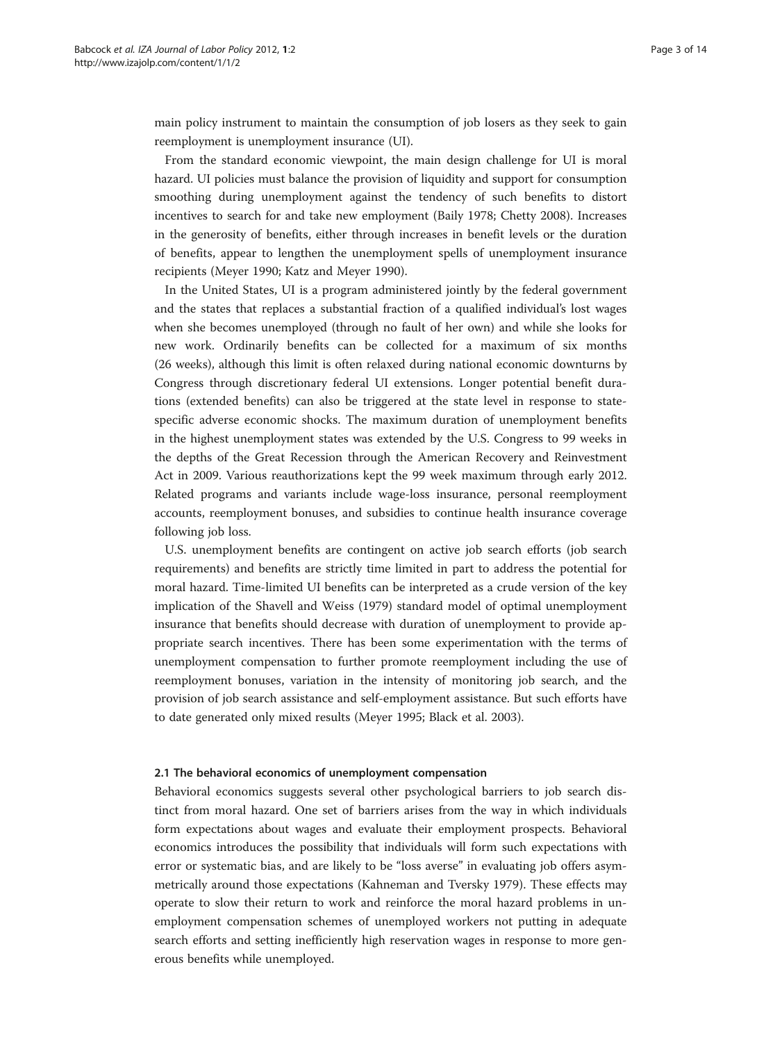main policy instrument to maintain the consumption of job losers as they seek to gain reemployment is unemployment insurance (UI).

From the standard economic viewpoint, the main design challenge for UI is moral hazard. UI policies must balance the provision of liquidity and support for consumption smoothing during unemployment against the tendency of such benefits to distort incentives to search for and take new employment (Baily [1978;](#page-12-0) Chetty [2008](#page-12-0)). Increases in the generosity of benefits, either through increases in benefit levels or the duration of benefits, appear to lengthen the unemployment spells of unemployment insurance recipients (Meyer [1990](#page-13-0); Katz and Meyer [1990](#page-13-0)).

In the United States, UI is a program administered jointly by the federal government and the states that replaces a substantial fraction of a qualified individual's lost wages when she becomes unemployed (through no fault of her own) and while she looks for new work. Ordinarily benefits can be collected for a maximum of six months (26 weeks), although this limit is often relaxed during national economic downturns by Congress through discretionary federal UI extensions. Longer potential benefit durations (extended benefits) can also be triggered at the state level in response to statespecific adverse economic shocks. The maximum duration of unemployment benefits in the highest unemployment states was extended by the U.S. Congress to 99 weeks in the depths of the Great Recession through the American Recovery and Reinvestment Act in 2009. Various reauthorizations kept the 99 week maximum through early 2012. Related programs and variants include wage-loss insurance, personal reemployment accounts, reemployment bonuses, and subsidies to continue health insurance coverage following job loss.

U.S. unemployment benefits are contingent on active job search efforts (job search requirements) and benefits are strictly time limited in part to address the potential for moral hazard. Time-limited UI benefits can be interpreted as a crude version of the key implication of the Shavell and Weiss [\(1979\)](#page-13-0) standard model of optimal unemployment insurance that benefits should decrease with duration of unemployment to provide appropriate search incentives. There has been some experimentation with the terms of unemployment compensation to further promote reemployment including the use of reemployment bonuses, variation in the intensity of monitoring job search, and the provision of job search assistance and self-employment assistance. But such efforts have to date generated only mixed results (Meyer [1995;](#page-13-0) Black et al. [2003\)](#page-12-0).

#### 2.1 The behavioral economics of unemployment compensation

Behavioral economics suggests several other psychological barriers to job search distinct from moral hazard. One set of barriers arises from the way in which individuals form expectations about wages and evaluate their employment prospects. Behavioral economics introduces the possibility that individuals will form such expectations with error or systematic bias, and are likely to be "loss averse" in evaluating job offers asymmetrically around those expectations (Kahneman and Tversky [1979](#page-13-0)). These effects may operate to slow their return to work and reinforce the moral hazard problems in unemployment compensation schemes of unemployed workers not putting in adequate search efforts and setting inefficiently high reservation wages in response to more generous benefits while unemployed.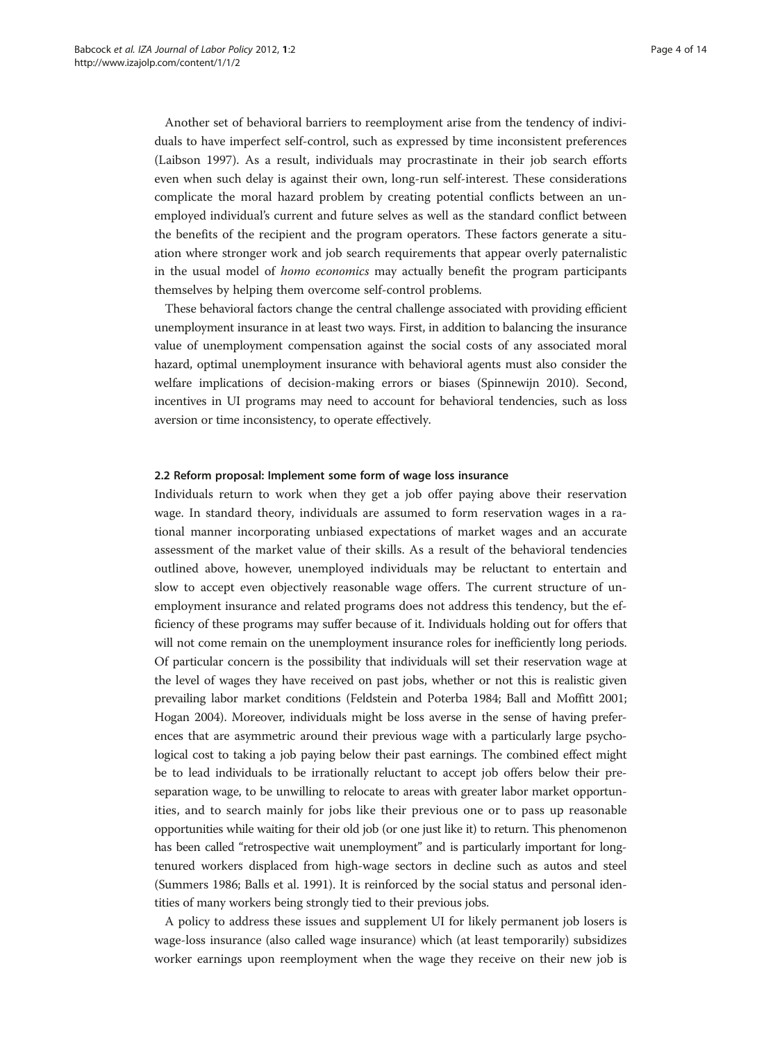Another set of behavioral barriers to reemployment arise from the tendency of individuals to have imperfect self-control, such as expressed by time inconsistent preferences (Laibson [1997\)](#page-13-0). As a result, individuals may procrastinate in their job search efforts even when such delay is against their own, long-run self-interest. These considerations complicate the moral hazard problem by creating potential conflicts between an unemployed individual's current and future selves as well as the standard conflict between the benefits of the recipient and the program operators. These factors generate a situation where stronger work and job search requirements that appear overly paternalistic in the usual model of homo economics may actually benefit the program participants themselves by helping them overcome self-control problems.

These behavioral factors change the central challenge associated with providing efficient unemployment insurance in at least two ways. First, in addition to balancing the insurance value of unemployment compensation against the social costs of any associated moral hazard, optimal unemployment insurance with behavioral agents must also consider the welfare implications of decision-making errors or biases (Spinnewijn [2010\)](#page-13-0). Second, incentives in UI programs may need to account for behavioral tendencies, such as loss aversion or time inconsistency, to operate effectively.

## 2.2 Reform proposal: Implement some form of wage loss insurance

Individuals return to work when they get a job offer paying above their reservation wage. In standard theory, individuals are assumed to form reservation wages in a rational manner incorporating unbiased expectations of market wages and an accurate assessment of the market value of their skills. As a result of the behavioral tendencies outlined above, however, unemployed individuals may be reluctant to entertain and slow to accept even objectively reasonable wage offers. The current structure of unemployment insurance and related programs does not address this tendency, but the efficiency of these programs may suffer because of it. Individuals holding out for offers that will not come remain on the unemployment insurance roles for inefficiently long periods. Of particular concern is the possibility that individuals will set their reservation wage at the level of wages they have received on past jobs, whether or not this is realistic given prevailing labor market conditions (Feldstein and Poterba [1984;](#page-13-0) Ball and Moffitt [2001](#page-12-0); Hogan [2004\)](#page-13-0). Moreover, individuals might be loss averse in the sense of having preferences that are asymmetric around their previous wage with a particularly large psychological cost to taking a job paying below their past earnings. The combined effect might be to lead individuals to be irrationally reluctant to accept job offers below their preseparation wage, to be unwilling to relocate to areas with greater labor market opportunities, and to search mainly for jobs like their previous one or to pass up reasonable opportunities while waiting for their old job (or one just like it) to return. This phenomenon has been called "retrospective wait unemployment" and is particularly important for longtenured workers displaced from high-wage sectors in decline such as autos and steel (Summers [1986](#page-13-0); Balls et al. [1991](#page-12-0)). It is reinforced by the social status and personal identities of many workers being strongly tied to their previous jobs.

A policy to address these issues and supplement UI for likely permanent job losers is wage-loss insurance (also called wage insurance) which (at least temporarily) subsidizes worker earnings upon reemployment when the wage they receive on their new job is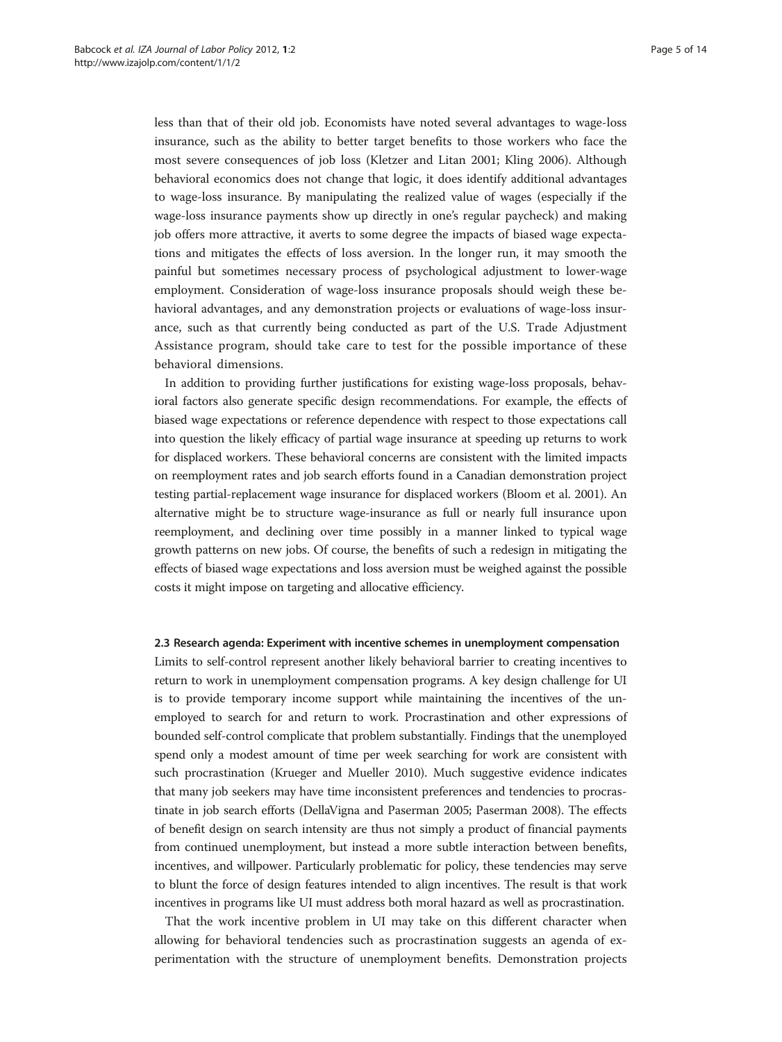less than that of their old job. Economists have noted several advantages to wage-loss insurance, such as the ability to better target benefits to those workers who face the most severe consequences of job loss (Kletzer and Litan [2001;](#page-13-0) Kling [2006\)](#page-13-0). Although behavioral economics does not change that logic, it does identify additional advantages to wage-loss insurance. By manipulating the realized value of wages (especially if the wage-loss insurance payments show up directly in one's regular paycheck) and making job offers more attractive, it averts to some degree the impacts of biased wage expectations and mitigates the effects of loss aversion. In the longer run, it may smooth the painful but sometimes necessary process of psychological adjustment to lower-wage employment. Consideration of wage-loss insurance proposals should weigh these behavioral advantages, and any demonstration projects or evaluations of wage-loss insurance, such as that currently being conducted as part of the U.S. Trade Adjustment Assistance program, should take care to test for the possible importance of these behavioral dimensions.

In addition to providing further justifications for existing wage-loss proposals, behavioral factors also generate specific design recommendations. For example, the effects of biased wage expectations or reference dependence with respect to those expectations call into question the likely efficacy of partial wage insurance at speeding up returns to work for displaced workers. These behavioral concerns are consistent with the limited impacts on reemployment rates and job search efforts found in a Canadian demonstration project testing partial-replacement wage insurance for displaced workers (Bloom et al. [2001](#page-12-0)). An alternative might be to structure wage-insurance as full or nearly full insurance upon reemployment, and declining over time possibly in a manner linked to typical wage growth patterns on new jobs. Of course, the benefits of such a redesign in mitigating the effects of biased wage expectations and loss aversion must be weighed against the possible costs it might impose on targeting and allocative efficiency.

## 2.3 Research agenda: Experiment with incentive schemes in unemployment compensation

Limits to self-control represent another likely behavioral barrier to creating incentives to return to work in unemployment compensation programs. A key design challenge for UI is to provide temporary income support while maintaining the incentives of the unemployed to search for and return to work. Procrastination and other expressions of bounded self-control complicate that problem substantially. Findings that the unemployed spend only a modest amount of time per week searching for work are consistent with such procrastination (Krueger and Mueller [2010](#page-13-0)). Much suggestive evidence indicates that many job seekers may have time inconsistent preferences and tendencies to procrastinate in job search efforts (DellaVigna and Paserman [2005](#page-13-0); Paserman [2008](#page-13-0)). The effects of benefit design on search intensity are thus not simply a product of financial payments from continued unemployment, but instead a more subtle interaction between benefits, incentives, and willpower. Particularly problematic for policy, these tendencies may serve to blunt the force of design features intended to align incentives. The result is that work incentives in programs like UI must address both moral hazard as well as procrastination.

That the work incentive problem in UI may take on this different character when allowing for behavioral tendencies such as procrastination suggests an agenda of experimentation with the structure of unemployment benefits. Demonstration projects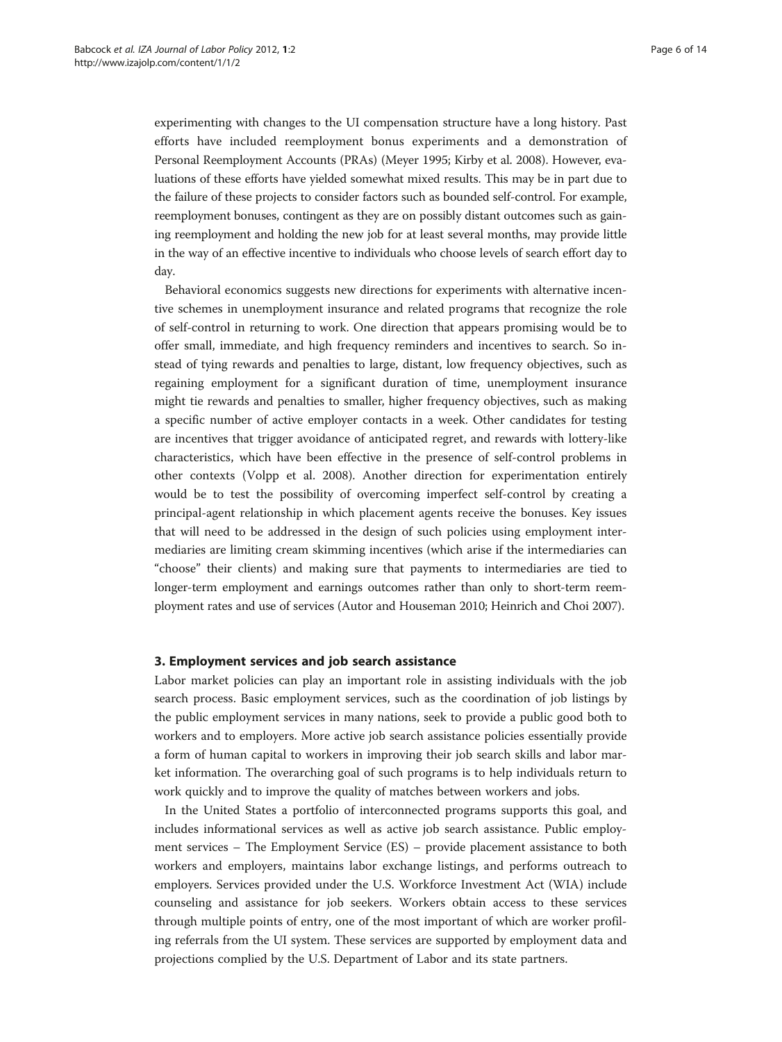experimenting with changes to the UI compensation structure have a long history. Past efforts have included reemployment bonus experiments and a demonstration of Personal Reemployment Accounts (PRAs) (Meyer [1995](#page-13-0); Kirby et al. [2008](#page-13-0)). However, evaluations of these efforts have yielded somewhat mixed results. This may be in part due to the failure of these projects to consider factors such as bounded self-control. For example, reemployment bonuses, contingent as they are on possibly distant outcomes such as gaining reemployment and holding the new job for at least several months, may provide little in the way of an effective incentive to individuals who choose levels of search effort day to day.

Behavioral economics suggests new directions for experiments with alternative incentive schemes in unemployment insurance and related programs that recognize the role of self-control in returning to work. One direction that appears promising would be to offer small, immediate, and high frequency reminders and incentives to search. So instead of tying rewards and penalties to large, distant, low frequency objectives, such as regaining employment for a significant duration of time, unemployment insurance might tie rewards and penalties to smaller, higher frequency objectives, such as making a specific number of active employer contacts in a week. Other candidates for testing are incentives that trigger avoidance of anticipated regret, and rewards with lottery-like characteristics, which have been effective in the presence of self-control problems in other contexts (Volpp et al. [2008](#page-13-0)). Another direction for experimentation entirely would be to test the possibility of overcoming imperfect self-control by creating a principal-agent relationship in which placement agents receive the bonuses. Key issues that will need to be addressed in the design of such policies using employment intermediaries are limiting cream skimming incentives (which arise if the intermediaries can "choose" their clients) and making sure that payments to intermediaries are tied to longer-term employment and earnings outcomes rather than only to short-term reemployment rates and use of services (Autor and Houseman [2010](#page-12-0); Heinrich and Choi [2007](#page-13-0)).

# 3. Employment services and job search assistance

Labor market policies can play an important role in assisting individuals with the job search process. Basic employment services, such as the coordination of job listings by the public employment services in many nations, seek to provide a public good both to workers and to employers. More active job search assistance policies essentially provide a form of human capital to workers in improving their job search skills and labor market information. The overarching goal of such programs is to help individuals return to work quickly and to improve the quality of matches between workers and jobs.

In the United States a portfolio of interconnected programs supports this goal, and includes informational services as well as active job search assistance. Public employment services – The Employment Service (ES) – provide placement assistance to both workers and employers, maintains labor exchange listings, and performs outreach to employers. Services provided under the U.S. Workforce Investment Act (WIA) include counseling and assistance for job seekers. Workers obtain access to these services through multiple points of entry, one of the most important of which are worker profiling referrals from the UI system. These services are supported by employment data and projections complied by the U.S. Department of Labor and its state partners.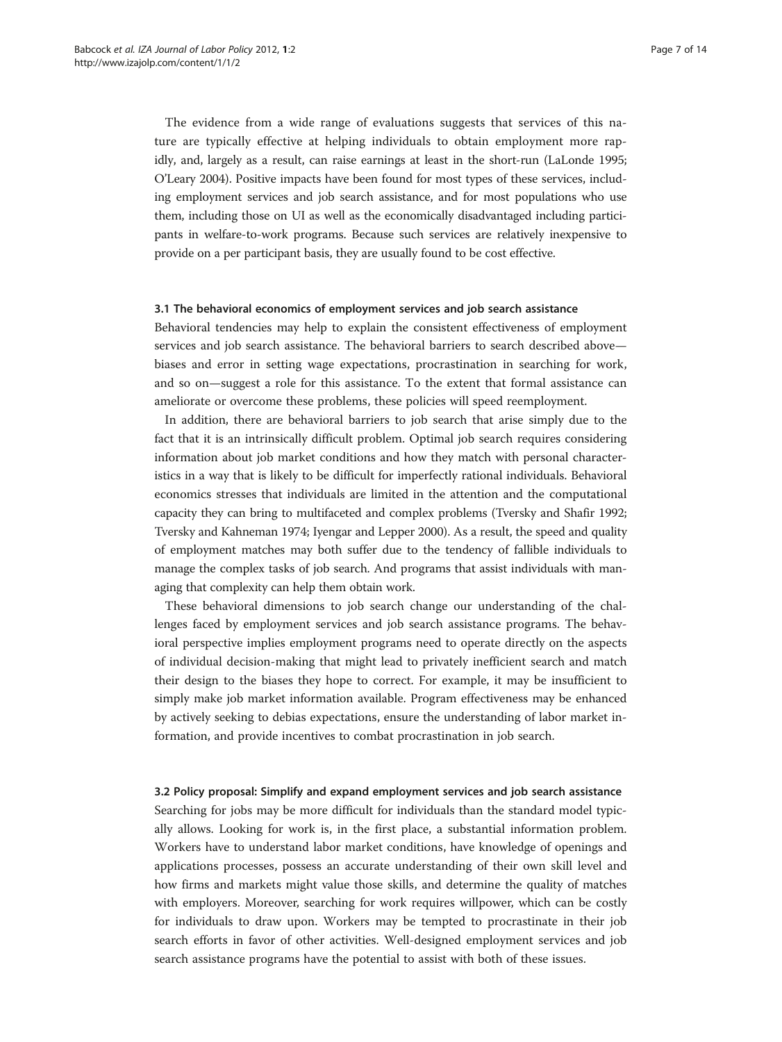The evidence from a wide range of evaluations suggests that services of this nature are typically effective at helping individuals to obtain employment more rapidly, and, largely as a result, can raise earnings at least in the short-run (LaLonde [1995](#page-13-0); O'Leary [2004](#page-13-0)). Positive impacts have been found for most types of these services, including employment services and job search assistance, and for most populations who use them, including those on UI as well as the economically disadvantaged including participants in welfare-to-work programs. Because such services are relatively inexpensive to provide on a per participant basis, they are usually found to be cost effective.

# 3.1 The behavioral economics of employment services and job search assistance

Behavioral tendencies may help to explain the consistent effectiveness of employment services and job search assistance. The behavioral barriers to search described above biases and error in setting wage expectations, procrastination in searching for work, and so on—suggest a role for this assistance. To the extent that formal assistance can ameliorate or overcome these problems, these policies will speed reemployment.

In addition, there are behavioral barriers to job search that arise simply due to the fact that it is an intrinsically difficult problem. Optimal job search requires considering information about job market conditions and how they match with personal characteristics in a way that is likely to be difficult for imperfectly rational individuals. Behavioral economics stresses that individuals are limited in the attention and the computational capacity they can bring to multifaceted and complex problems (Tversky and Shafir [1992](#page-13-0); Tversky and Kahneman [1974;](#page-13-0) Iyengar and Lepper [2000\)](#page-13-0). As a result, the speed and quality of employment matches may both suffer due to the tendency of fallible individuals to manage the complex tasks of job search. And programs that assist individuals with managing that complexity can help them obtain work.

These behavioral dimensions to job search change our understanding of the challenges faced by employment services and job search assistance programs. The behavioral perspective implies employment programs need to operate directly on the aspects of individual decision-making that might lead to privately inefficient search and match their design to the biases they hope to correct. For example, it may be insufficient to simply make job market information available. Program effectiveness may be enhanced by actively seeking to debias expectations, ensure the understanding of labor market information, and provide incentives to combat procrastination in job search.

3.2 Policy proposal: Simplify and expand employment services and job search assistance

Searching for jobs may be more difficult for individuals than the standard model typically allows. Looking for work is, in the first place, a substantial information problem. Workers have to understand labor market conditions, have knowledge of openings and applications processes, possess an accurate understanding of their own skill level and how firms and markets might value those skills, and determine the quality of matches with employers. Moreover, searching for work requires willpower, which can be costly for individuals to draw upon. Workers may be tempted to procrastinate in their job search efforts in favor of other activities. Well-designed employment services and job search assistance programs have the potential to assist with both of these issues.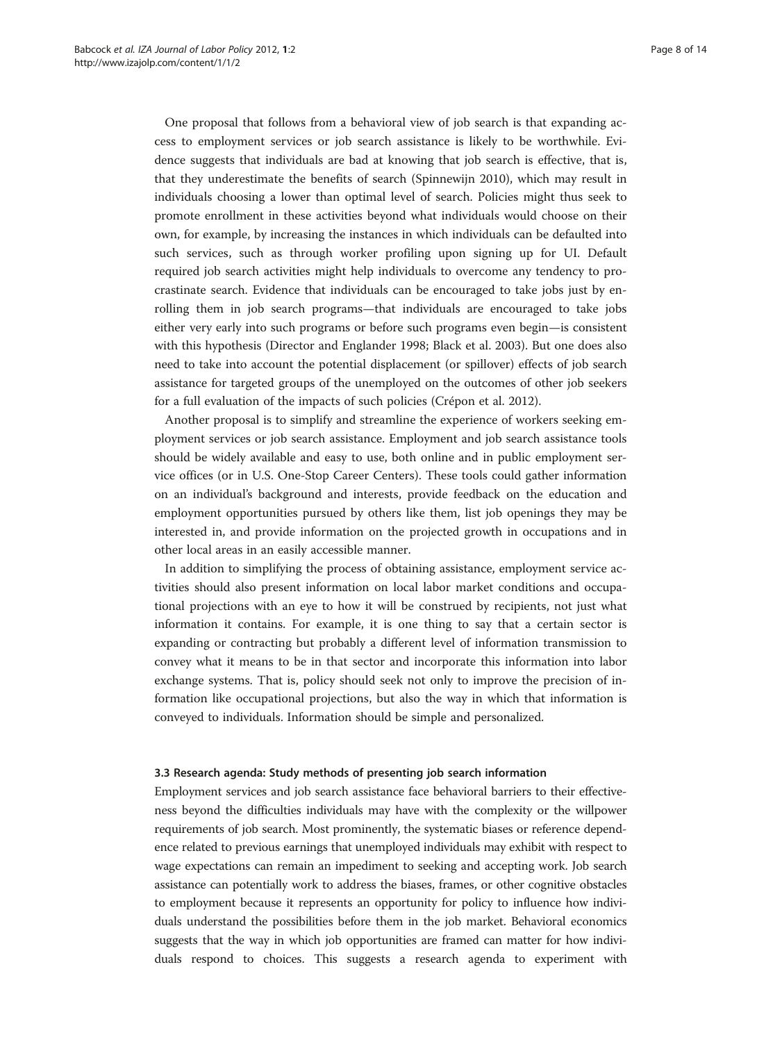One proposal that follows from a behavioral view of job search is that expanding access to employment services or job search assistance is likely to be worthwhile. Evidence suggests that individuals are bad at knowing that job search is effective, that is, that they underestimate the benefits of search (Spinnewijn [2010](#page-13-0)), which may result in individuals choosing a lower than optimal level of search. Policies might thus seek to promote enrollment in these activities beyond what individuals would choose on their own, for example, by increasing the instances in which individuals can be defaulted into such services, such as through worker profiling upon signing up for UI. Default required job search activities might help individuals to overcome any tendency to procrastinate search. Evidence that individuals can be encouraged to take jobs just by enrolling them in job search programs—that individuals are encouraged to take jobs either very early into such programs or before such programs even begin—is consistent with this hypothesis (Director and Englander [1998;](#page-13-0) Black et al. [2003\)](#page-12-0). But one does also need to take into account the potential displacement (or spillover) effects of job search assistance for targeted groups of the unemployed on the outcomes of other job seekers for a full evaluation of the impacts of such policies (Crépon et al. [2012](#page-12-0)).

Another proposal is to simplify and streamline the experience of workers seeking employment services or job search assistance. Employment and job search assistance tools should be widely available and easy to use, both online and in public employment service offices (or in U.S. One-Stop Career Centers). These tools could gather information on an individual's background and interests, provide feedback on the education and employment opportunities pursued by others like them, list job openings they may be interested in, and provide information on the projected growth in occupations and in other local areas in an easily accessible manner.

In addition to simplifying the process of obtaining assistance, employment service activities should also present information on local labor market conditions and occupational projections with an eye to how it will be construed by recipients, not just what information it contains. For example, it is one thing to say that a certain sector is expanding or contracting but probably a different level of information transmission to convey what it means to be in that sector and incorporate this information into labor exchange systems. That is, policy should seek not only to improve the precision of information like occupational projections, but also the way in which that information is conveyed to individuals. Information should be simple and personalized.

#### 3.3 Research agenda: Study methods of presenting job search information

Employment services and job search assistance face behavioral barriers to their effectiveness beyond the difficulties individuals may have with the complexity or the willpower requirements of job search. Most prominently, the systematic biases or reference dependence related to previous earnings that unemployed individuals may exhibit with respect to wage expectations can remain an impediment to seeking and accepting work. Job search assistance can potentially work to address the biases, frames, or other cognitive obstacles to employment because it represents an opportunity for policy to influence how individuals understand the possibilities before them in the job market. Behavioral economics suggests that the way in which job opportunities are framed can matter for how individuals respond to choices. This suggests a research agenda to experiment with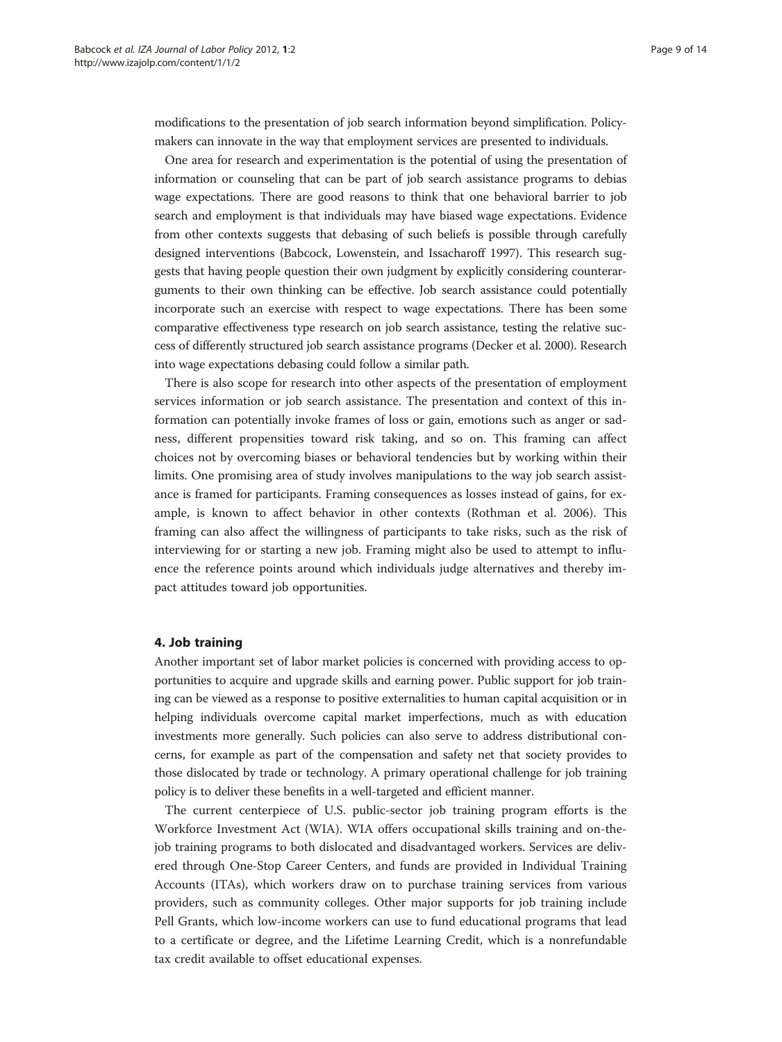modifications to the presentation of job search information beyond simplification. Policymakers can innovate in the way that employment services are presented to individuals.

One area for research and experimentation is the potential of using the presentation of information or counseling that can be part of job search assistance programs to debias wage expectations. There are good reasons to think that one behavioral barrier to job search and employment is that individuals may have biased wage expectations. Evidence from other contexts suggests that debasing of such beliefs is possible through carefully designed interventions (Babcock, Lowenstein, and Issacharoff [1997\)](#page-12-0). This research suggests that having people question their own judgment by explicitly considering counterarguments to their own thinking can be effective. Job search assistance could potentially incorporate such an exercise with respect to wage expectations. There has been some comparative effectiveness type research on job search assistance, testing the relative success of differently structured job search assistance programs (Decker et al. [2000](#page-12-0)). Research into wage expectations debasing could follow a similar path.

There is also scope for research into other aspects of the presentation of employment services information or job search assistance. The presentation and context of this information can potentially invoke frames of loss or gain, emotions such as anger or sadness, different propensities toward risk taking, and so on. This framing can affect choices not by overcoming biases or behavioral tendencies but by working within their limits. One promising area of study involves manipulations to the way job search assistance is framed for participants. Framing consequences as losses instead of gains, for example, is known to affect behavior in other contexts (Rothman et al. [2006\)](#page-13-0). This framing can also affect the willingness of participants to take risks, such as the risk of interviewing for or starting a new job. Framing might also be used to attempt to influence the reference points around which individuals judge alternatives and thereby impact attitudes toward job opportunities.

# 4. Job training

Another important set of labor market policies is concerned with providing access to opportunities to acquire and upgrade skills and earning power. Public support for job training can be viewed as a response to positive externalities to human capital acquisition or in helping individuals overcome capital market imperfections, much as with education investments more generally. Such policies can also serve to address distributional concerns, for example as part of the compensation and safety net that society provides to those dislocated by trade or technology. A primary operational challenge for job training policy is to deliver these benefits in a well-targeted and efficient manner.

The current centerpiece of U.S. public-sector job training program efforts is the Workforce Investment Act (WIA). WIA offers occupational skills training and on-thejob training programs to both dislocated and disadvantaged workers. Services are delivered through One-Stop Career Centers, and funds are provided in Individual Training Accounts (ITAs), which workers draw on to purchase training services from various providers, such as community colleges. Other major supports for job training include Pell Grants, which low-income workers can use to fund educational programs that lead to a certificate or degree, and the Lifetime Learning Credit, which is a nonrefundable tax credit available to offset educational expenses.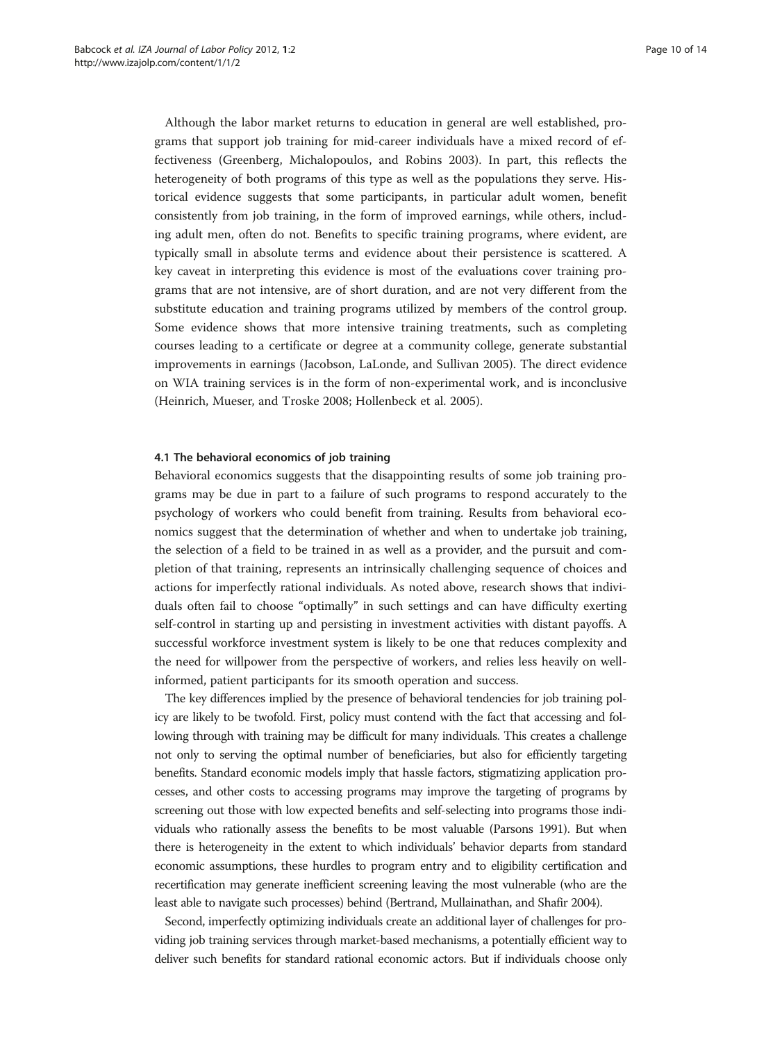Although the labor market returns to education in general are well established, programs that support job training for mid-career individuals have a mixed record of effectiveness (Greenberg, Michalopoulos, and Robins [2003\)](#page-13-0). In part, this reflects the heterogeneity of both programs of this type as well as the populations they serve. Historical evidence suggests that some participants, in particular adult women, benefit consistently from job training, in the form of improved earnings, while others, including adult men, often do not. Benefits to specific training programs, where evident, are typically small in absolute terms and evidence about their persistence is scattered. A key caveat in interpreting this evidence is most of the evaluations cover training programs that are not intensive, are of short duration, and are not very different from the substitute education and training programs utilized by members of the control group. Some evidence shows that more intensive training treatments, such as completing courses leading to a certificate or degree at a community college, generate substantial improvements in earnings (Jacobson, LaLonde, and Sullivan [2005\)](#page-13-0). The direct evidence on WIA training services is in the form of non-experimental work, and is inconclusive (Heinrich, Mueser, and Troske [2008;](#page-13-0) Hollenbeck et al. [2005\)](#page-13-0).

#### 4.1 The behavioral economics of job training

Behavioral economics suggests that the disappointing results of some job training programs may be due in part to a failure of such programs to respond accurately to the psychology of workers who could benefit from training. Results from behavioral economics suggest that the determination of whether and when to undertake job training, the selection of a field to be trained in as well as a provider, and the pursuit and completion of that training, represents an intrinsically challenging sequence of choices and actions for imperfectly rational individuals. As noted above, research shows that individuals often fail to choose "optimally" in such settings and can have difficulty exerting self-control in starting up and persisting in investment activities with distant payoffs. A successful workforce investment system is likely to be one that reduces complexity and the need for willpower from the perspective of workers, and relies less heavily on wellinformed, patient participants for its smooth operation and success.

The key differences implied by the presence of behavioral tendencies for job training policy are likely to be twofold. First, policy must contend with the fact that accessing and following through with training may be difficult for many individuals. This creates a challenge not only to serving the optimal number of beneficiaries, but also for efficiently targeting benefits. Standard economic models imply that hassle factors, stigmatizing application processes, and other costs to accessing programs may improve the targeting of programs by screening out those with low expected benefits and self-selecting into programs those individuals who rationally assess the benefits to be most valuable (Parsons [1991](#page-13-0)). But when there is heterogeneity in the extent to which individuals' behavior departs from standard economic assumptions, these hurdles to program entry and to eligibility certification and recertification may generate inefficient screening leaving the most vulnerable (who are the least able to navigate such processes) behind (Bertrand, Mullainathan, and Shafir [2004](#page-12-0)).

Second, imperfectly optimizing individuals create an additional layer of challenges for providing job training services through market-based mechanisms, a potentially efficient way to deliver such benefits for standard rational economic actors. But if individuals choose only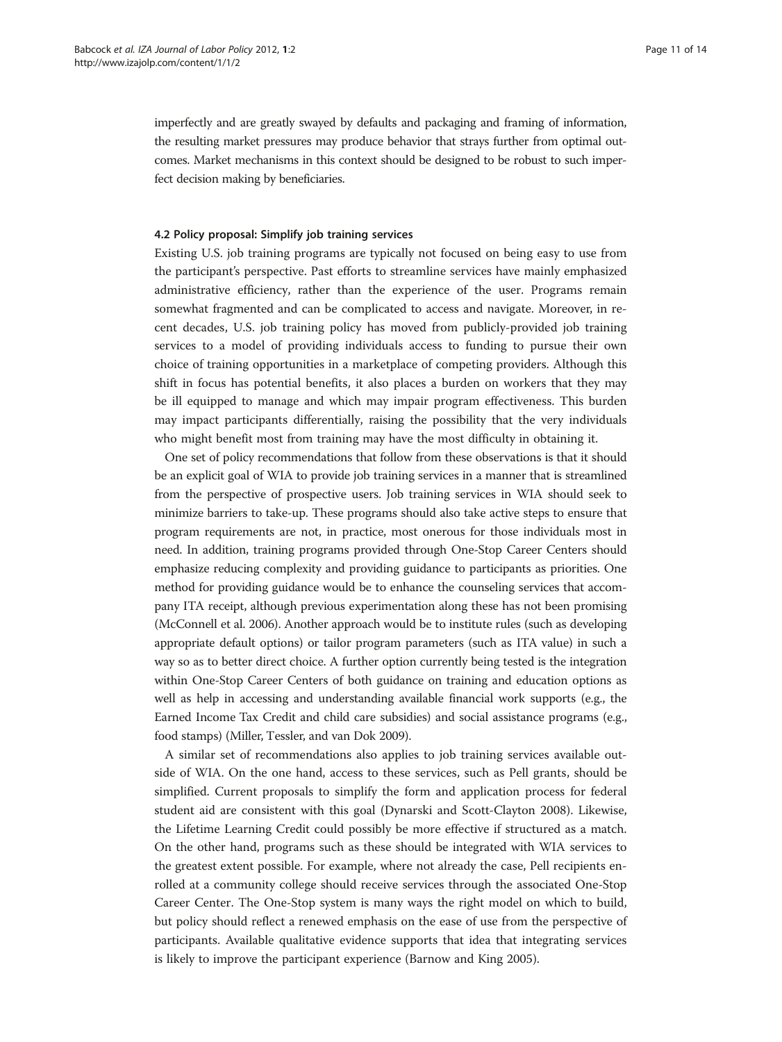imperfectly and are greatly swayed by defaults and packaging and framing of information, the resulting market pressures may produce behavior that strays further from optimal outcomes. Market mechanisms in this context should be designed to be robust to such imperfect decision making by beneficiaries.

# 4.2 Policy proposal: Simplify job training services

Existing U.S. job training programs are typically not focused on being easy to use from the participant's perspective. Past efforts to streamline services have mainly emphasized administrative efficiency, rather than the experience of the user. Programs remain somewhat fragmented and can be complicated to access and navigate. Moreover, in recent decades, U.S. job training policy has moved from publicly-provided job training services to a model of providing individuals access to funding to pursue their own choice of training opportunities in a marketplace of competing providers. Although this shift in focus has potential benefits, it also places a burden on workers that they may be ill equipped to manage and which may impair program effectiveness. This burden may impact participants differentially, raising the possibility that the very individuals who might benefit most from training may have the most difficulty in obtaining it.

One set of policy recommendations that follow from these observations is that it should be an explicit goal of WIA to provide job training services in a manner that is streamlined from the perspective of prospective users. Job training services in WIA should seek to minimize barriers to take-up. These programs should also take active steps to ensure that program requirements are not, in practice, most onerous for those individuals most in need. In addition, training programs provided through One-Stop Career Centers should emphasize reducing complexity and providing guidance to participants as priorities. One method for providing guidance would be to enhance the counseling services that accompany ITA receipt, although previous experimentation along these has not been promising (McConnell et al. [2006\)](#page-13-0). Another approach would be to institute rules (such as developing appropriate default options) or tailor program parameters (such as ITA value) in such a way so as to better direct choice. A further option currently being tested is the integration within One-Stop Career Centers of both guidance on training and education options as well as help in accessing and understanding available financial work supports (e.g., the Earned Income Tax Credit and child care subsidies) and social assistance programs (e.g., food stamps) (Miller, Tessler, and van Dok [2009](#page-13-0)).

A similar set of recommendations also applies to job training services available outside of WIA. On the one hand, access to these services, such as Pell grants, should be simplified. Current proposals to simplify the form and application process for federal student aid are consistent with this goal (Dynarski and Scott-Clayton [2008](#page-13-0)). Likewise, the Lifetime Learning Credit could possibly be more effective if structured as a match. On the other hand, programs such as these should be integrated with WIA services to the greatest extent possible. For example, where not already the case, Pell recipients enrolled at a community college should receive services through the associated One-Stop Career Center. The One-Stop system is many ways the right model on which to build, but policy should reflect a renewed emphasis on the ease of use from the perspective of participants. Available qualitative evidence supports that idea that integrating services is likely to improve the participant experience (Barnow and King [2005\)](#page-12-0).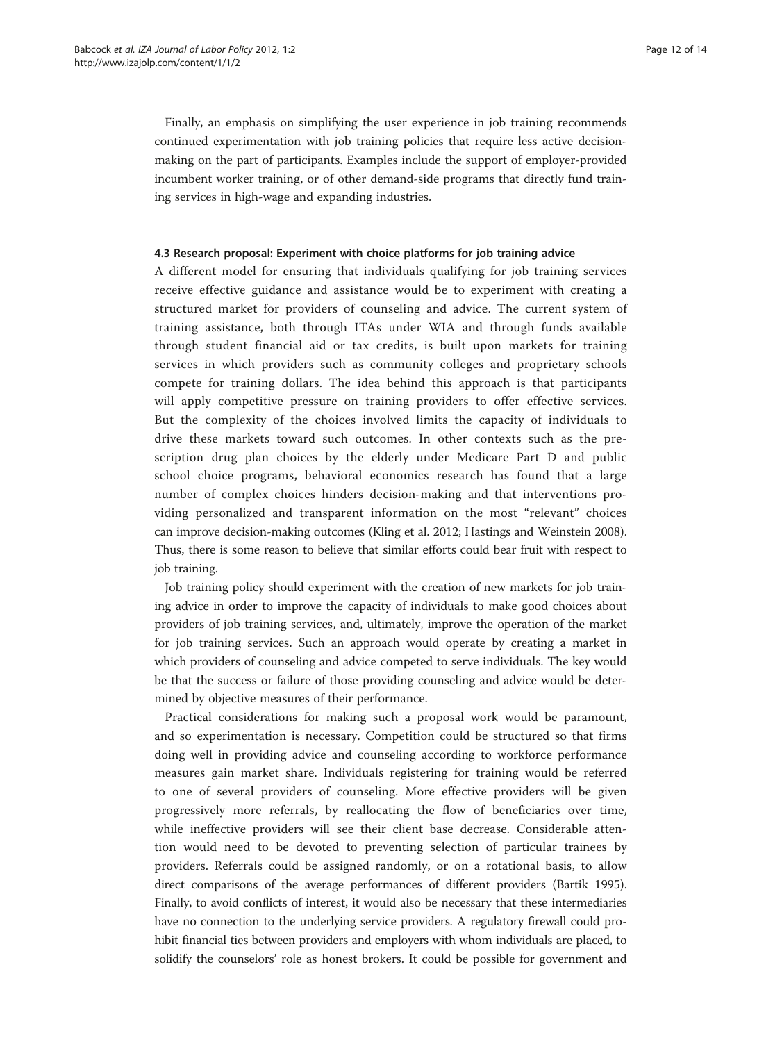Finally, an emphasis on simplifying the user experience in job training recommends continued experimentation with job training policies that require less active decisionmaking on the part of participants. Examples include the support of employer-provided incumbent worker training, or of other demand-side programs that directly fund training services in high-wage and expanding industries.

## 4.3 Research proposal: Experiment with choice platforms for job training advice

A different model for ensuring that individuals qualifying for job training services receive effective guidance and assistance would be to experiment with creating a structured market for providers of counseling and advice. The current system of training assistance, both through ITAs under WIA and through funds available through student financial aid or tax credits, is built upon markets for training services in which providers such as community colleges and proprietary schools compete for training dollars. The idea behind this approach is that participants will apply competitive pressure on training providers to offer effective services. But the complexity of the choices involved limits the capacity of individuals to drive these markets toward such outcomes. In other contexts such as the prescription drug plan choices by the elderly under Medicare Part D and public school choice programs, behavioral economics research has found that a large number of complex choices hinders decision-making and that interventions providing personalized and transparent information on the most "relevant" choices can improve decision-making outcomes (Kling et al. [2012](#page-13-0); Hastings and Weinstein [2008](#page-13-0)). Thus, there is some reason to believe that similar efforts could bear fruit with respect to job training.

Job training policy should experiment with the creation of new markets for job training advice in order to improve the capacity of individuals to make good choices about providers of job training services, and, ultimately, improve the operation of the market for job training services. Such an approach would operate by creating a market in which providers of counseling and advice competed to serve individuals. The key would be that the success or failure of those providing counseling and advice would be determined by objective measures of their performance.

Practical considerations for making such a proposal work would be paramount, and so experimentation is necessary. Competition could be structured so that firms doing well in providing advice and counseling according to workforce performance measures gain market share. Individuals registering for training would be referred to one of several providers of counseling. More effective providers will be given progressively more referrals, by reallocating the flow of beneficiaries over time, while ineffective providers will see their client base decrease. Considerable attention would need to be devoted to preventing selection of particular trainees by providers. Referrals could be assigned randomly, or on a rotational basis, to allow direct comparisons of the average performances of different providers (Bartik [1995](#page-12-0)). Finally, to avoid conflicts of interest, it would also be necessary that these intermediaries have no connection to the underlying service providers. A regulatory firewall could prohibit financial ties between providers and employers with whom individuals are placed, to solidify the counselors' role as honest brokers. It could be possible for government and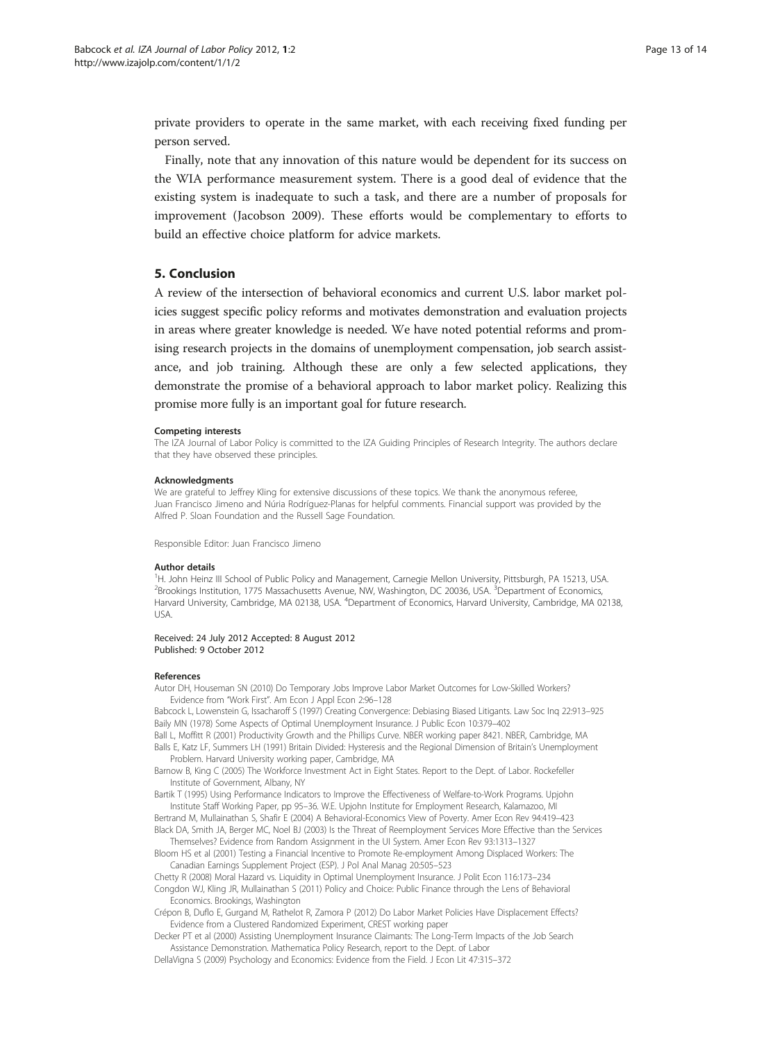<span id="page-12-0"></span>private providers to operate in the same market, with each receiving fixed funding per person served.

Finally, note that any innovation of this nature would be dependent for its success on the WIA performance measurement system. There is a good deal of evidence that the existing system is inadequate to such a task, and there are a number of proposals for improvement (Jacobson [2009\)](#page-13-0). These efforts would be complementary to efforts to build an effective choice platform for advice markets.

# 5. Conclusion

A review of the intersection of behavioral economics and current U.S. labor market policies suggest specific policy reforms and motivates demonstration and evaluation projects in areas where greater knowledge is needed. We have noted potential reforms and promising research projects in the domains of unemployment compensation, job search assistance, and job training. Although these are only a few selected applications, they demonstrate the promise of a behavioral approach to labor market policy. Realizing this promise more fully is an important goal for future research.

#### Competing interests

The IZA Journal of Labor Policy is committed to the IZA Guiding Principles of Research Integrity. The authors declare that they have observed these principles.

#### Acknowledgments

We are grateful to Jeffrey Kling for extensive discussions of these topics. We thank the anonymous referee, Juan Francisco Jimeno and Núria Rodríguez-Planas for helpful comments. Financial support was provided by the Alfred P. Sloan Foundation and the Russell Sage Foundation.

Responsible Editor: Juan Francisco Jimeno

#### Author details

<sup>1</sup>H. John Heinz III School of Public Policy and Management, Carnegie Mellon University, Pittsburgh, PA 15213, USA. <sup>2</sup>Brookings Institution, 1775 Massachusetts Avenue, NW, Washington, DC 20036, USA. <sup>3</sup>Department of Economics, Harvard University, Cambridge, MA 02138, USA. <sup>4</sup>Department of Economics, Harvard University, Cambridge, MA 02138 USA.

Received: 24 July 2012 Accepted: 8 August 2012 Published: 9 October 2012

#### References

Autor DH, Houseman SN (2010) Do Temporary Jobs Improve Labor Market Outcomes for Low-Skilled Workers? Evidence from "Work First". Am Econ J Appl Econ 2:96–128

Babcock L, Lowenstein G, Issacharoff S (1997) Creating Convergence: Debiasing Biased Litigants. Law Soc Inq 22:913–925 Baily MN (1978) Some Aspects of Optimal Unemployment Insurance. J Public Econ 10:379–402

Ball L, Moffitt R (2001) Productivity Growth and the Phillips Curve. NBER working paper 8421. NBER, Cambridge, MA Balls E, Katz LF, Summers LH (1991) Britain Divided: Hysteresis and the Regional Dimension of Britain's Unemployment Problem. Harvard University working paper, Cambridge, MA

Barnow B, King C (2005) The Workforce Investment Act in Eight States. Report to the Dept. of Labor. Rockefeller Institute of Government, Albany, NY

Bartik T (1995) Using Performance Indicators to Improve the Effectiveness of Welfare-to-Work Programs. Upjohn Institute Staff Working Paper, pp 95–36. W.E. Upjohn Institute for Employment Research, Kalamazoo, MI

Bertrand M, Mullainathan S, Shafir E (2004) A Behavioral-Economics View of Poverty. Amer Econ Rev 94:419–423 Black DA, Smith JA, Berger MC, Noel BJ (2003) Is the Threat of Reemployment Services More Effective than the Services

Themselves? Evidence from Random Assignment in the UI System. Amer Econ Rev 93:1313–1327 Bloom HS et al (2001) Testing a Financial Incentive to Promote Re-employment Among Displaced Workers: The Canadian Earnings Supplement Project (ESP). J Pol Anal Manag 20:505–523

Chetty R (2008) Moral Hazard vs. Liquidity in Optimal Unemployment Insurance. J Polit Econ 116:173–234 Congdon WJ, Kling JR, Mullainathan S (2011) Policy and Choice: Public Finance through the Lens of Behavioral Economics. Brookings, Washington

Crépon B, Duflo E, Gurgand M, Rathelot R, Zamora P (2012) Do Labor Market Policies Have Displacement Effects? Evidence from a Clustered Randomized Experiment, CREST working paper

Decker PT et al (2000) Assisting Unemployment Insurance Claimants: The Long-Term Impacts of the Job Search Assistance Demonstration. Mathematica Policy Research, report to the Dept. of Labor

DellaVigna S (2009) Psychology and Economics: Evidence from the Field. J Econ Lit 47:315–372